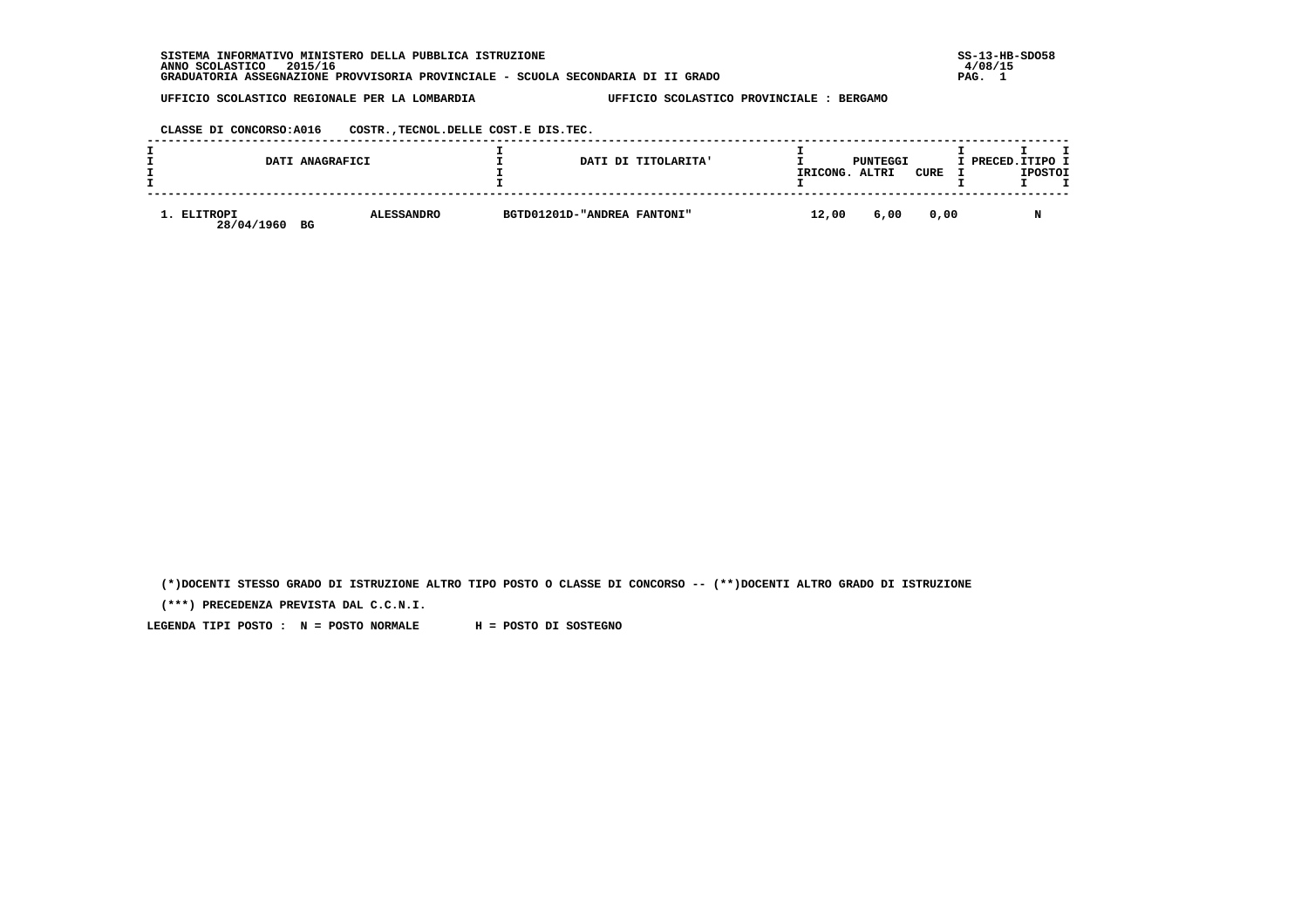**SISTEMA INFORMATIVO MINISTERO DELLA PUBBLICA ISTRUZIONE SS-13-HB-SDO58 ANNO SCOLASTICO 2015/16 4/08/15 GRADUATORIA ASSEGNAZIONE PROVVISORIA PROVINCIALE - SCUOLA SECONDARIA DI II GRADO PAG. 1**

 **UFFICIO SCOLASTICO REGIONALE PER LA LOMBARDIA UFFICIO SCOLASTICO PROVINCIALE : BERGAMO**

 **CLASSE DI CONCORSO:A016 COSTR.,TECNOL.DELLE COST.E DIS.TEC.**

|                           | DATI ANAGRAFICI |                   |                             | DATI DI TITOLARITA' | IRICONG. | PUNTEGGI<br>ALTRI | CURE | I PRECED. ITIPO I | <b>IPOSTOI</b> |  |
|---------------------------|-----------------|-------------------|-----------------------------|---------------------|----------|-------------------|------|-------------------|----------------|--|
| 1. ELITROPI<br>28/04/1960 | BG              | <b>ALESSANDRO</b> | BGTD01201D-"ANDREA FANTONI" |                     | 12,00    | 6,00              | 0.00 |                   | N              |  |

 **(\*)DOCENTI STESSO GRADO DI ISTRUZIONE ALTRO TIPO POSTO O CLASSE DI CONCORSO -- (\*\*)DOCENTI ALTRO GRADO DI ISTRUZIONE**

 **(\*\*\*) PRECEDENZA PREVISTA DAL C.C.N.I.**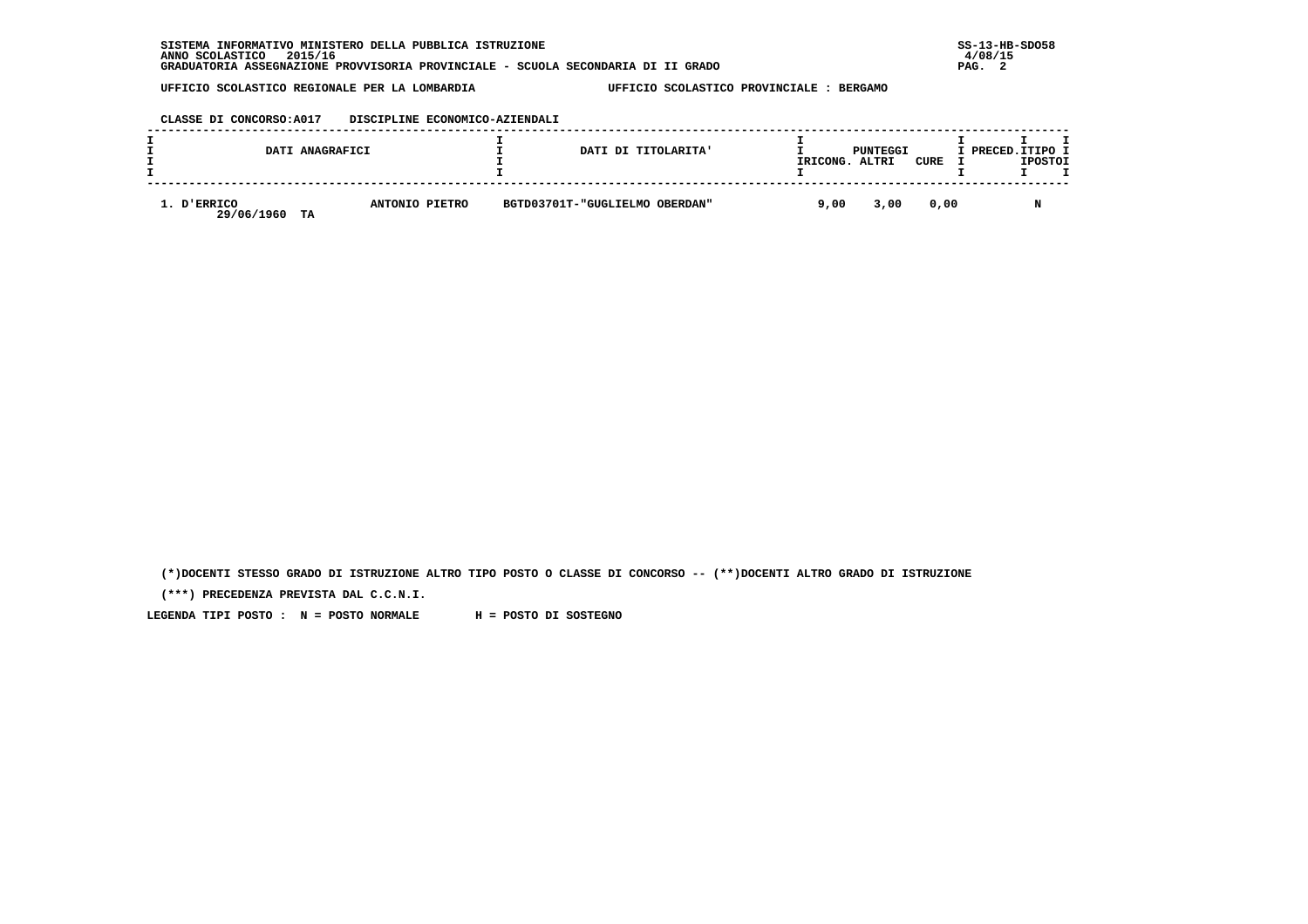| CLASSE DI CONCORSO: A017 | DISCIPLINE ECONOMICO-AZIENDALI |
|--------------------------|--------------------------------|
|                          |                                |

|                           | DATI ANAGRAFICI |                | DATI DI TITOLARITA'            | IRICONG. | PUNTEGGI<br>ALTRI | CURE | I PRECED. ITIPO I | <b>IPOSTOI</b> |  |
|---------------------------|-----------------|----------------|--------------------------------|----------|-------------------|------|-------------------|----------------|--|
| 1. D'ERRICO<br>29/06/1960 | TA              | ANTONIO PIETRO | BGTD03701T-"GUGLIELMO OBERDAN" | 9,00     | 3,00              | 0.00 |                   | M              |  |

 **(\*)DOCENTI STESSO GRADO DI ISTRUZIONE ALTRO TIPO POSTO O CLASSE DI CONCORSO -- (\*\*)DOCENTI ALTRO GRADO DI ISTRUZIONE**

 **(\*\*\*) PRECEDENZA PREVISTA DAL C.C.N.I.**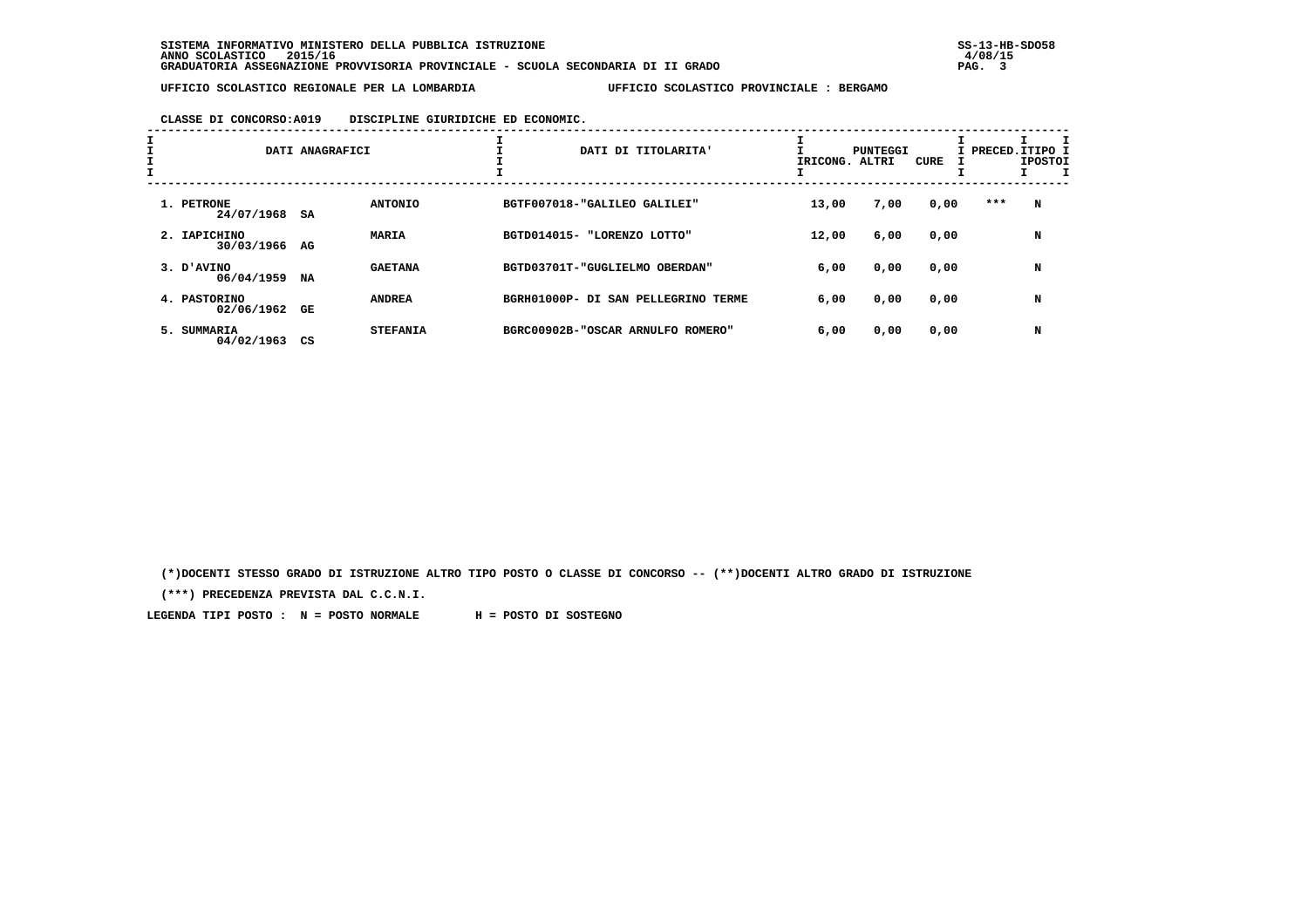# **CLASSE DI CONCORSO:A019 DISCIPLINE GIURIDICHE ED ECONOMIC.**

| <b>L</b> | DATI ANAGRAFICI               |    | DATI DI TITOLARITA' | IRICONG. ALTRI                      | PUNTEGGI | CURE |      | I PRECED.ITIPO I<br><b>IPOSTOI</b> |   |
|----------|-------------------------------|----|---------------------|-------------------------------------|----------|------|------|------------------------------------|---|
|          | 1. PETRONE<br>24/07/1968      | SA | <b>ANTONIO</b>      | BGTF007018-"GALILEO GALILEI"        | 13,00    | 7,00 | 0,00 | ***                                | N |
|          | 2. IAPICHINO<br>30/03/1966 AG |    | MARIA               | BGTD014015- "LORENZO LOTTO"         | 12,00    | 6,00 | 0,00 |                                    | N |
|          | 3. D'AVINO<br>06/04/1959      | NA | <b>GAETANA</b>      | BGTD03701T-"GUGLIELMO OBERDAN"      | 6,00     | 0,00 | 0,00 |                                    | N |
|          | 4. PASTORINO<br>02/06/1962    | GE | <b>ANDREA</b>       | BGRH01000P- DI SAN PELLEGRINO TERME | 6,00     | 0,00 | 0,00 |                                    | N |
|          | 5. SUMMARIA<br>04/02/1963     | CS | <b>STEFANIA</b>     | BGRC00902B-"OSCAR ARNULFO ROMERO"   | 6,00     | 0,00 | 0,00 |                                    | N |

 **(\*)DOCENTI STESSO GRADO DI ISTRUZIONE ALTRO TIPO POSTO O CLASSE DI CONCORSO -- (\*\*)DOCENTI ALTRO GRADO DI ISTRUZIONE**

 **(\*\*\*) PRECEDENZA PREVISTA DAL C.C.N.I.**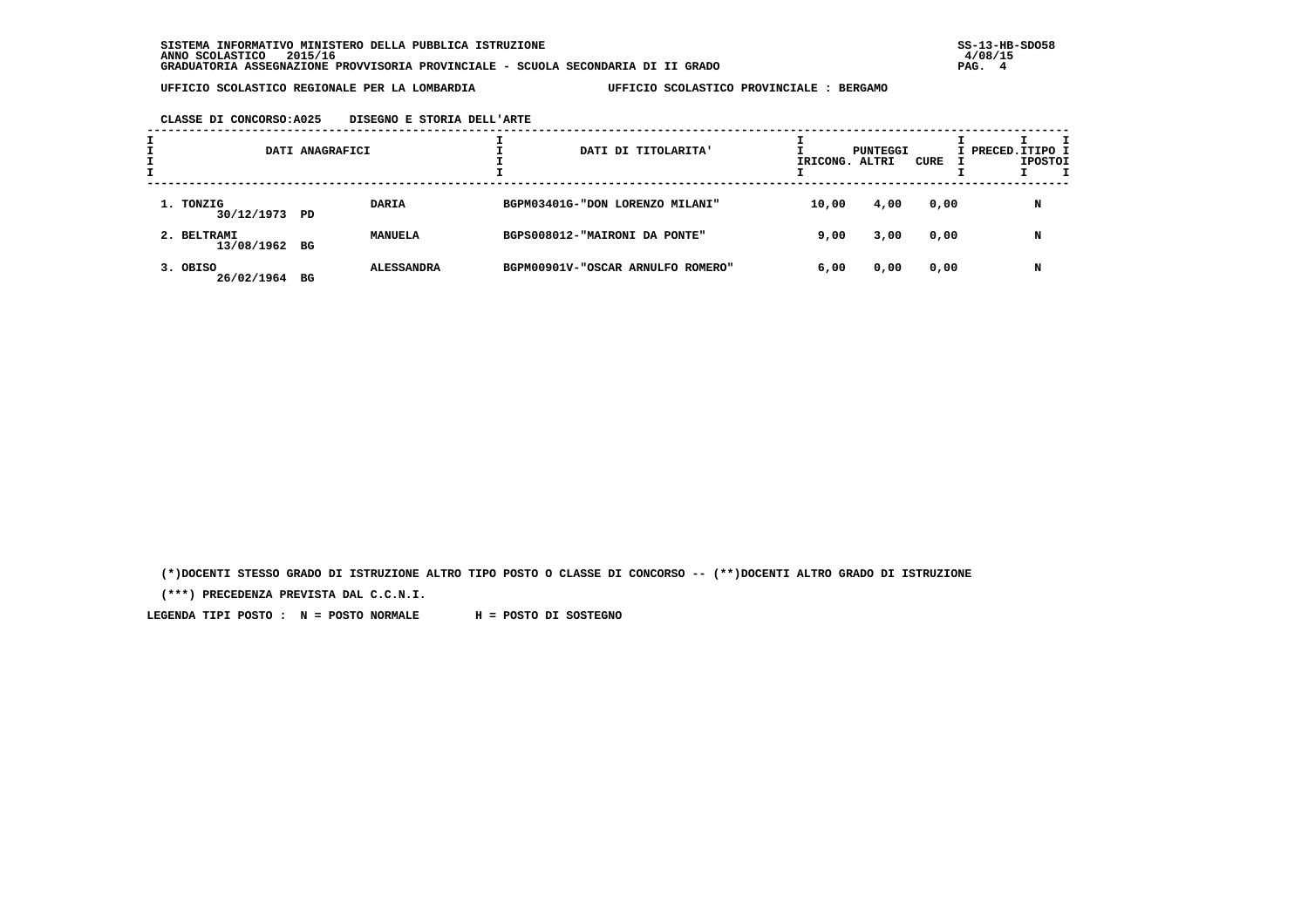### **CLASSE DI CONCORSO:A025 DISEGNO E STORIA DELL'ARTE**

|                              | DATI ANAGRAFICI |                   | DATI DI TITOLARITA'               | IRICONG. ALTRI | PUNTEGGI | CURE | I PRECED.ITIPO I | <b>IPOSTOI</b> |  |
|------------------------------|-----------------|-------------------|-----------------------------------|----------------|----------|------|------------------|----------------|--|
| 1. TONZIG<br>30/12/1973 PD   |                 | DARIA             | BGPM03401G-"DON LORENZO MILANI"   | 10,00          | 4,00     | 0,00 |                  | N              |  |
| 2. BELTRAMI<br>13/08/1962 BG |                 | MANUELA           | BGPS008012-"MAIRONI DA PONTE"     | 9,00           | 3,00     | 0,00 |                  | N              |  |
| 3. OBISO<br>26/02/1964       | BG              | <b>ALESSANDRA</b> | BGPM00901V-"OSCAR ARNULFO ROMERO" | 6,00           | 0,00     | 0,00 |                  | N              |  |

 **(\*)DOCENTI STESSO GRADO DI ISTRUZIONE ALTRO TIPO POSTO O CLASSE DI CONCORSO -- (\*\*)DOCENTI ALTRO GRADO DI ISTRUZIONE**

 **(\*\*\*) PRECEDENZA PREVISTA DAL C.C.N.I.**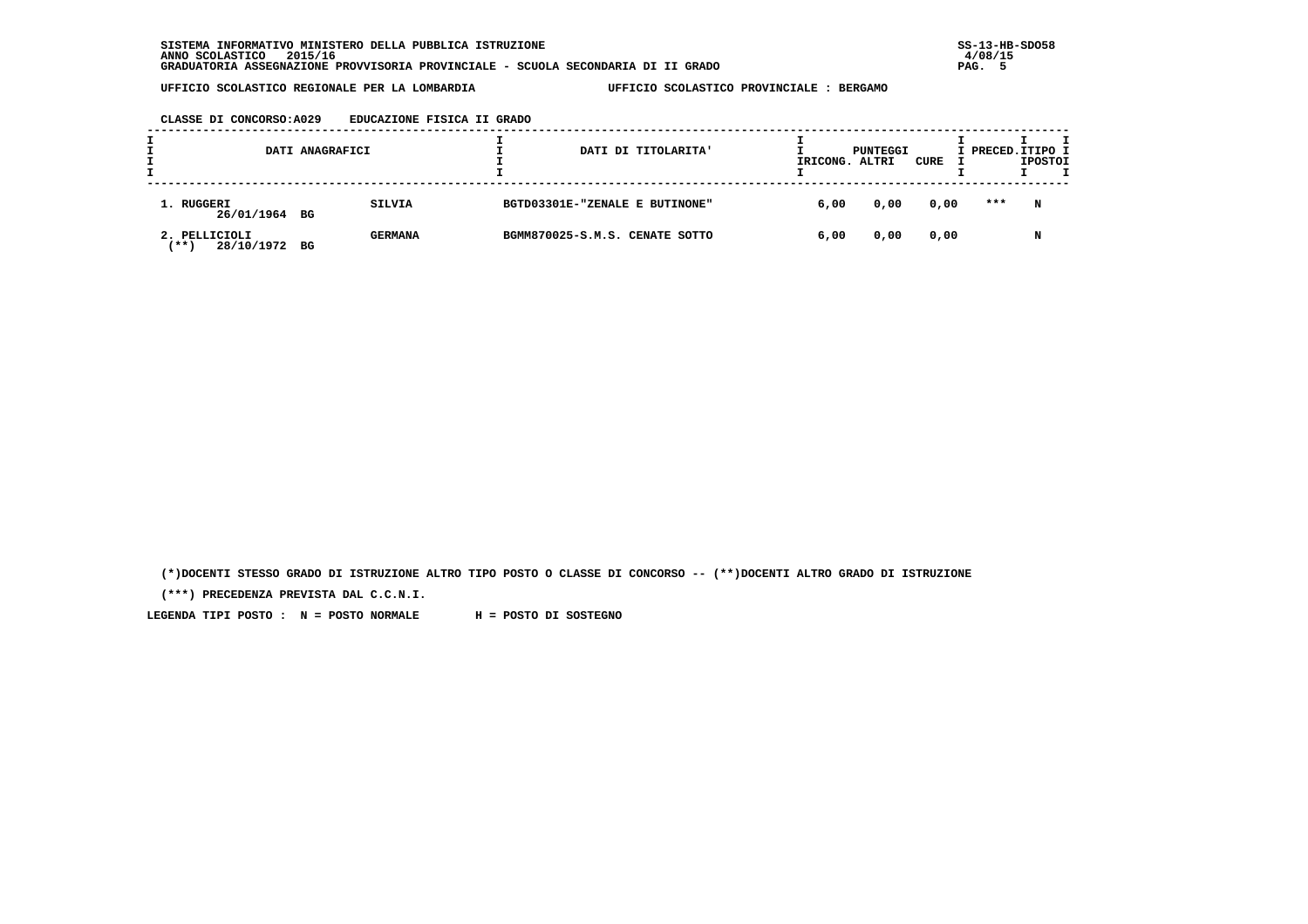| CLASSE DI CONCORSO: A029 | EDUCAZIONE FISICA II GRADO |  |  |
|--------------------------|----------------------------|--|--|
|                          |                            |  |  |

|                                      | DATI ANAGRAFICI |                |  | DATI DI TITOLARITA'            | IRICONG. | PUNTEGGI<br>ALTRI | CURE | I PRECED.ITIPO I | <b>IPOSTOI</b> |  |
|--------------------------------------|-----------------|----------------|--|--------------------------------|----------|-------------------|------|------------------|----------------|--|
| 1. RUGGERI<br>26/01/1964 BG          |                 | <b>SILVIA</b>  |  | BGTD03301E-"ZENALE E BUTINONE" | 6,00     | 0,00              | 0,00 | ***              | N              |  |
| 2. PELLICIOLI<br>28/10/1972<br>'** 1 | BG              | <b>GERMANA</b> |  | BGMM870025-S.M.S. CENATE SOTTO | 6,00     | 0,00              | 0,00 |                  | N              |  |

 **(\*)DOCENTI STESSO GRADO DI ISTRUZIONE ALTRO TIPO POSTO O CLASSE DI CONCORSO -- (\*\*)DOCENTI ALTRO GRADO DI ISTRUZIONE**

 **(\*\*\*) PRECEDENZA PREVISTA DAL C.C.N.I.**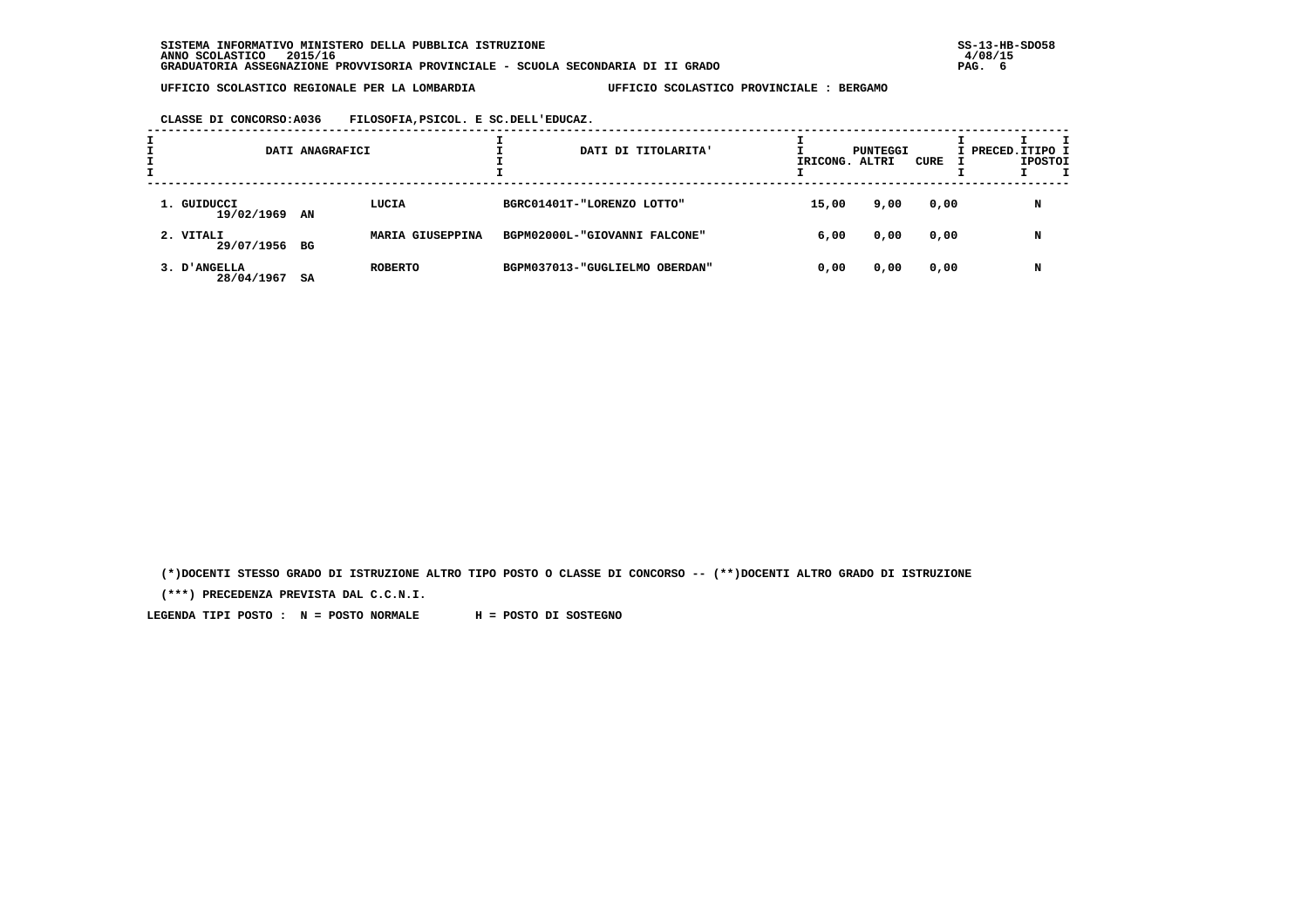**CLASSE DI CONCORSO:A036 FILOSOFIA,PSICOL. E SC.DELL'EDUCAZ.**

|                              | DATI ANAGRAFICI |                  | DATI DI TITOLARITA'            | IRICONG. ALTRI | PUNTEGGI | CURE | I PRECED. ITIPO I | <b>IPOSTOI</b> |  |
|------------------------------|-----------------|------------------|--------------------------------|----------------|----------|------|-------------------|----------------|--|
| 1. GUIDUCCI<br>19/02/1969 AN |                 | LUCIA            | BGRC01401T-"LORENZO LOTTO"     | 15,00          | 9,00     | 0,00 |                   | N              |  |
| 2. VITALI<br>29/07/1956 BG   |                 | MARIA GIUSEPPINA | BGPM02000L-"GIOVANNI FALCONE"  | 6,00           | 0,00     | 0,00 |                   | N              |  |
| 3. D'ANGELLA<br>28/04/1967   | SA              | <b>ROBERTO</b>   | BGPM037013-"GUGLIELMO OBERDAN" | 0,00           | 0,00     | 0,00 |                   | N              |  |

 **(\*)DOCENTI STESSO GRADO DI ISTRUZIONE ALTRO TIPO POSTO O CLASSE DI CONCORSO -- (\*\*)DOCENTI ALTRO GRADO DI ISTRUZIONE**

 **(\*\*\*) PRECEDENZA PREVISTA DAL C.C.N.I.**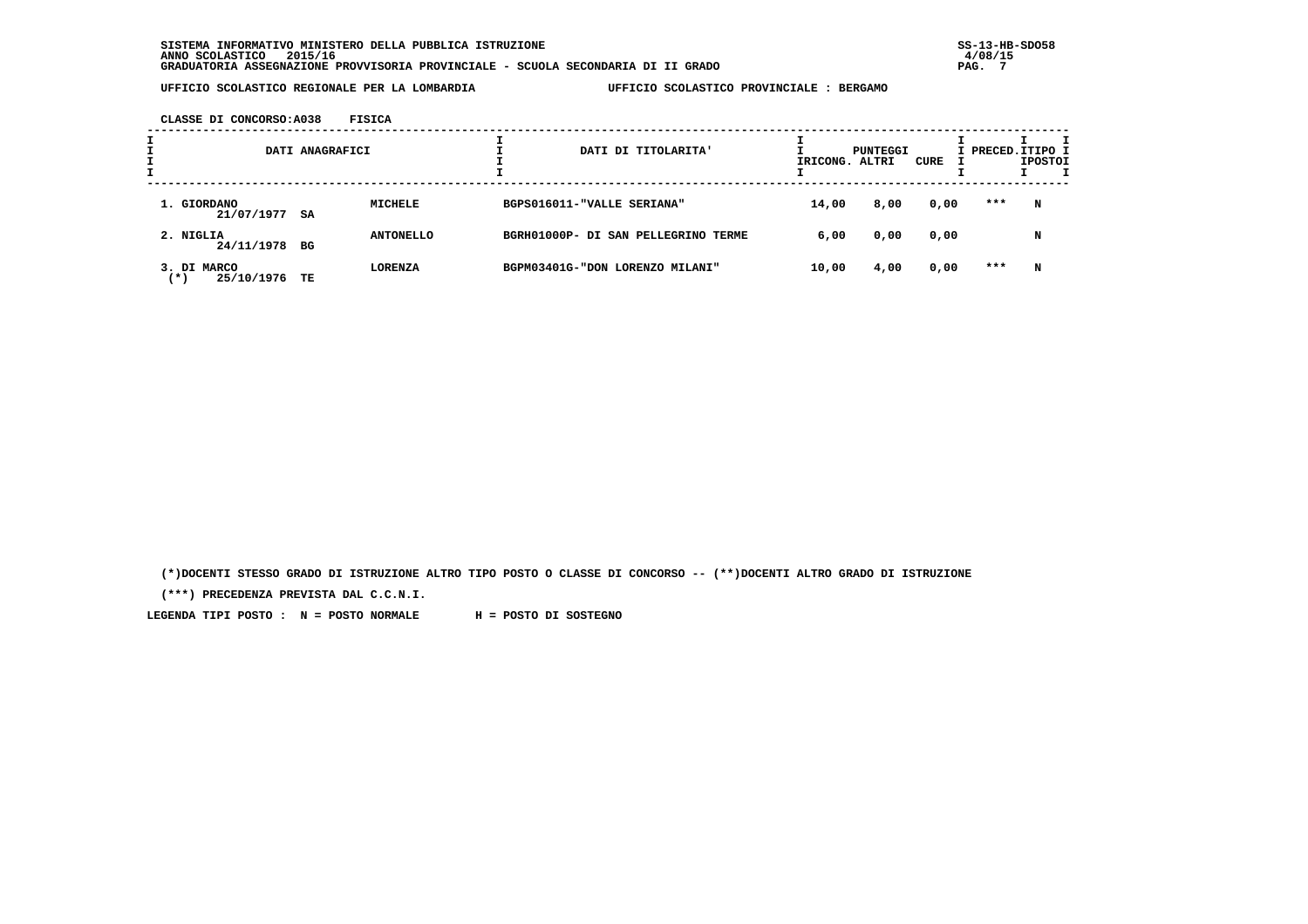**CLASSE DI CONCORSO:A038 FISICA**

|                                    | DATI ANAGRAFICI |                  | DATI DI TITOLARITA'                 | IRICONG. ALTRI | PUNTEGGI | CURE | I PRECED.ITIPO I | <b>IPOSTOI</b> |  |
|------------------------------------|-----------------|------------------|-------------------------------------|----------------|----------|------|------------------|----------------|--|
| 1. GIORDANO<br>$21/07/1977$ SA     |                 | <b>MICHELE</b>   | BGPS016011-"VALLE SERIANA"          | 14,00          | 8,00     | 0,00 | ***              | N              |  |
| 2. NIGLIA<br>24/11/1978 BG         |                 | <b>ANTONELLO</b> | BGRH01000P- DI SAN PELLEGRINO TERME | 6,00           | 0,00     | 0,00 |                  | N              |  |
| 3. DI MARCO<br>25/10/1976<br>( * ) | TE              | <b>LORENZA</b>   | BGPM03401G-"DON LORENZO MILANI"     | 10,00          | 4,00     | 0,00 | ***              | N              |  |

 **(\*)DOCENTI STESSO GRADO DI ISTRUZIONE ALTRO TIPO POSTO O CLASSE DI CONCORSO -- (\*\*)DOCENTI ALTRO GRADO DI ISTRUZIONE**

 **(\*\*\*) PRECEDENZA PREVISTA DAL C.C.N.I.**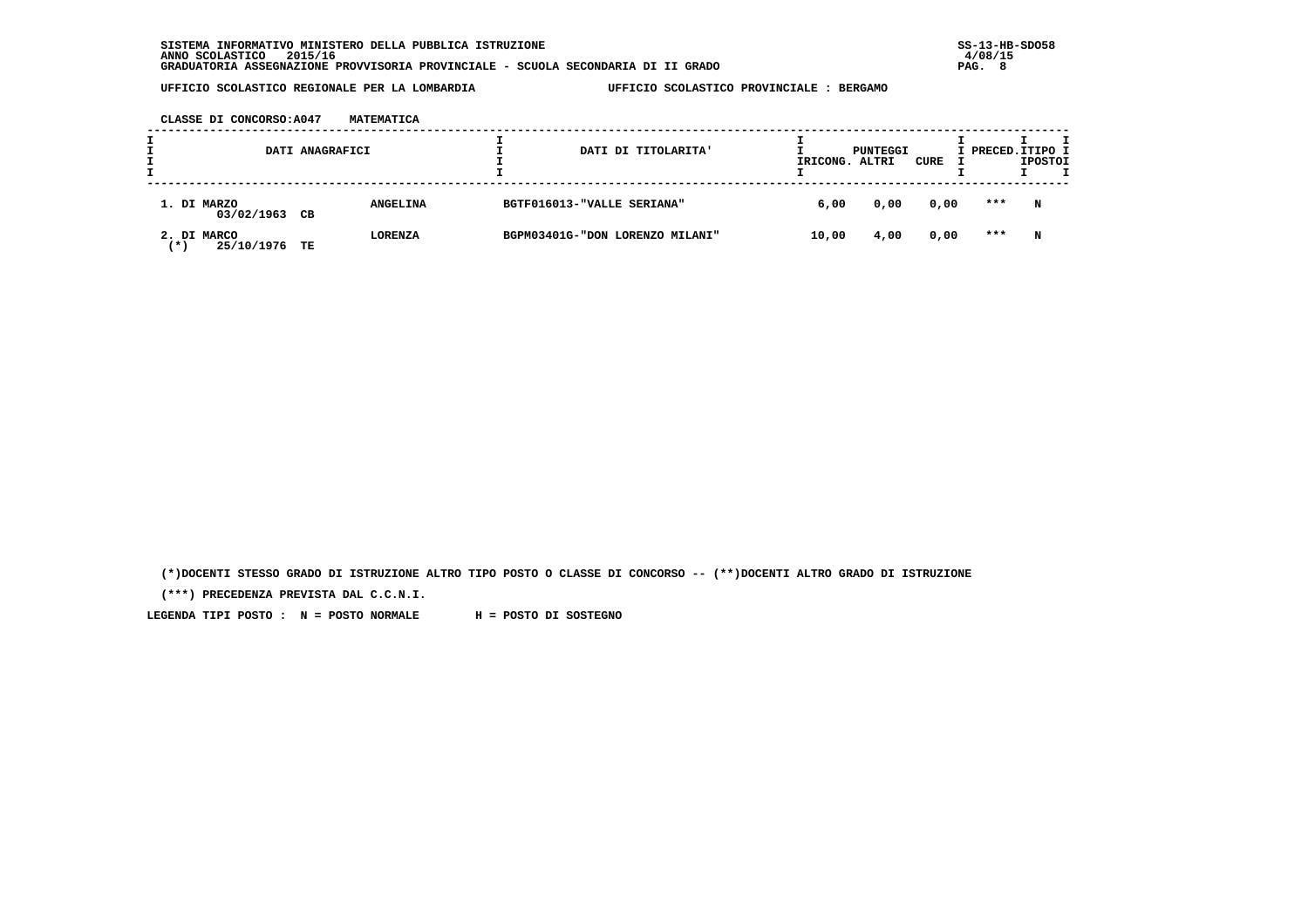**CLASSE DI CONCORSO:A047 MATEMATICA**

|                                  | DATI ANAGRAFICI |                 | DATI DI TITOLARITA'             | IRICONG. ALTRI | PUNTEGGI | CURE | I PRECED.ITIPO I | <b>IPOSTOI</b> |
|----------------------------------|-----------------|-----------------|---------------------------------|----------------|----------|------|------------------|----------------|
| 1. DI MARZO<br>03/02/1963        | CВ              | <b>ANGELINA</b> | BGTF016013-"VALLE SERIANA"      | 6,00           | 0,00     | 0,00 | ***              | N              |
| 2. DI MARCO<br>25/10/1976<br>(*) | TE              | <b>LORENZA</b>  | BGPM03401G-"DON LORENZO MILANI" | 10,00          | 4,00     | 0,00 | ***              | N              |

 **(\*)DOCENTI STESSO GRADO DI ISTRUZIONE ALTRO TIPO POSTO O CLASSE DI CONCORSO -- (\*\*)DOCENTI ALTRO GRADO DI ISTRUZIONE**

 **(\*\*\*) PRECEDENZA PREVISTA DAL C.C.N.I.**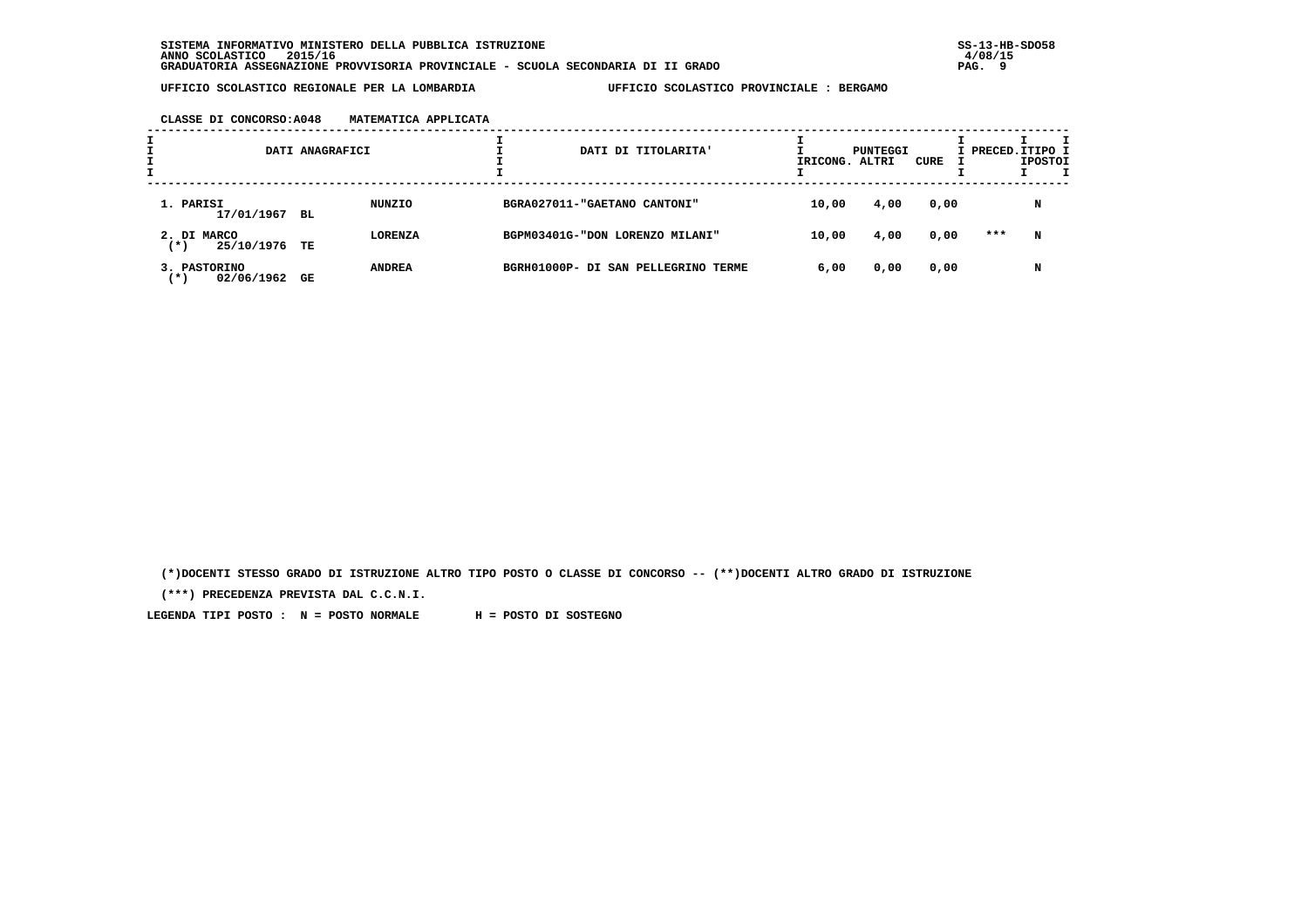|  | CLASSE DI CONCORSO: A048 | MATEMATICA APPLICATA |  |
|--|--------------------------|----------------------|--|
|  |                          |                      |  |

|                                     | DATI ANAGRAFICI |                | DATI DI TITOLARITA'                 | IRICONG. ALTRI | PUNTEGGI | CURE | I PRECED.ITIPO I | <b>IPOSTOI</b> |  |
|-------------------------------------|-----------------|----------------|-------------------------------------|----------------|----------|------|------------------|----------------|--|
| 1. PARISI<br>17/01/1967 BL          |                 | NUNZIO         | BGRA027011-"GAETANO CANTONI"        | 10,00          | 4,00     | 0,00 |                  | N              |  |
| 2. DI MARCO<br>25/10/1976<br>(*)    | TE              | <b>LORENZA</b> | BGPM03401G-"DON LORENZO MILANI"     | 10,00          | 4,00     | 0,00 | ***              | N              |  |
| 3. PASTORINO<br>02/06/1962<br>( * ) | GE              | <b>ANDREA</b>  | BGRH01000P- DI SAN PELLEGRINO TERME | 6,00           | 0,00     | 0,00 |                  | N              |  |

 **(\*)DOCENTI STESSO GRADO DI ISTRUZIONE ALTRO TIPO POSTO O CLASSE DI CONCORSO -- (\*\*)DOCENTI ALTRO GRADO DI ISTRUZIONE**

 **(\*\*\*) PRECEDENZA PREVISTA DAL C.C.N.I.**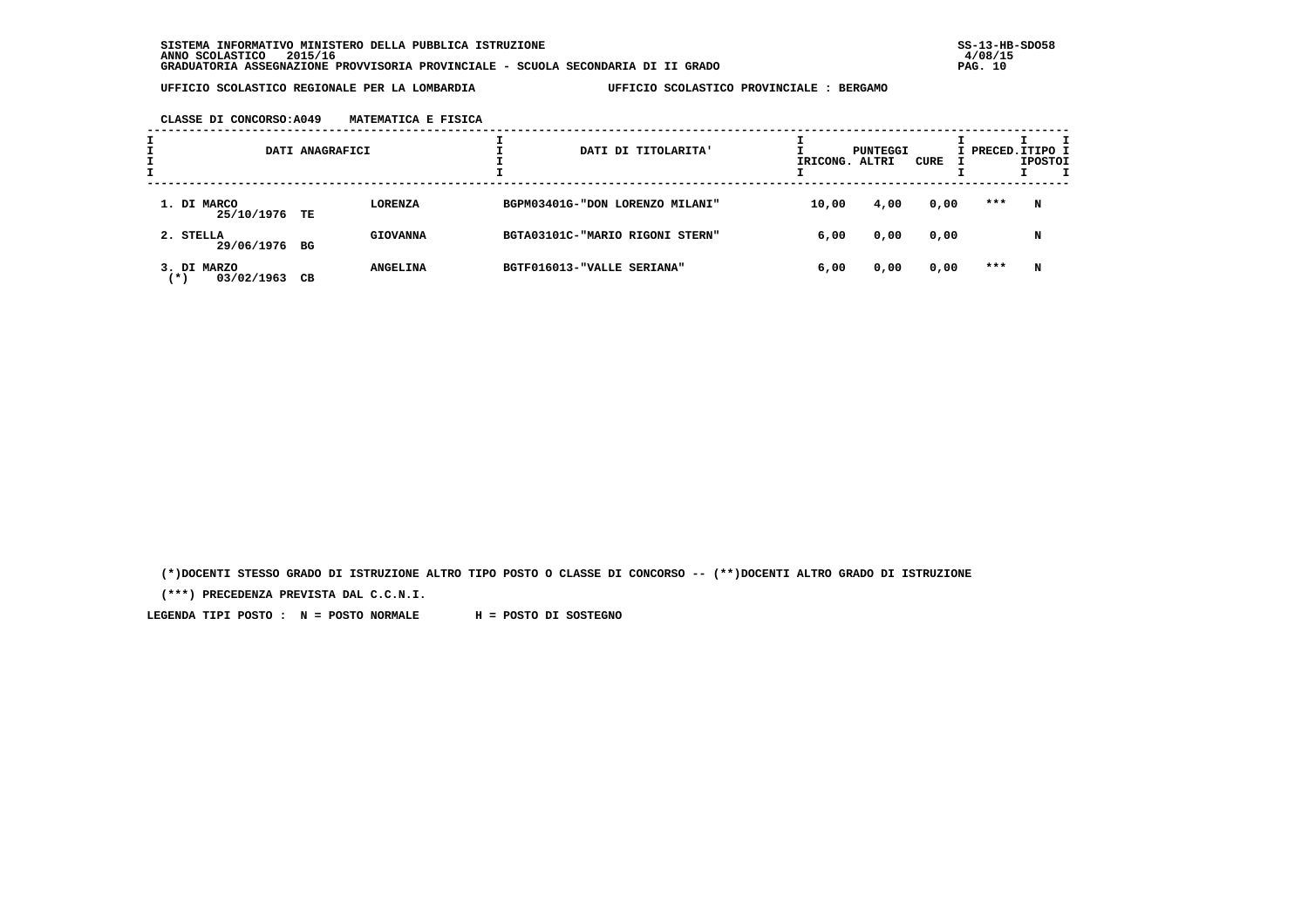| CLASSE DI CONCORSO:A049 | MATEMATICA E FISICA |  |
|-------------------------|---------------------|--|
|                         |                     |  |

| ÷ |                                    | DATI ANAGRAFICI |                 | DATI DI TITOLARITA'             | IRICONG. ALTRI | PUNTEGGI | CURE | I PRECED.ITIPO I | <b>IPOSTOI</b> |  |
|---|------------------------------------|-----------------|-----------------|---------------------------------|----------------|----------|------|------------------|----------------|--|
|   | 1. DI MARCO<br>25/10/1976 TE       |                 | <b>LORENZA</b>  | BGPM03401G-"DON LORENZO MILANI" | 10,00          | 4,00     | 0,00 | ***              | N              |  |
|   | 2. STELLA<br>29/06/1976 BG         |                 | <b>GIOVANNA</b> | BGTA03101C-"MARIO RIGONI STERN" | 6,00           | 0,00     | 0,00 |                  | N              |  |
|   | 3. DI MARZO<br>03/02/1963<br>( * ) | CВ              | <b>ANGELINA</b> | BGTF016013-"VALLE SERIANA"      | 6,00           | 0,00     | 0,00 | ***              | N              |  |

 **(\*)DOCENTI STESSO GRADO DI ISTRUZIONE ALTRO TIPO POSTO O CLASSE DI CONCORSO -- (\*\*)DOCENTI ALTRO GRADO DI ISTRUZIONE**

 **(\*\*\*) PRECEDENZA PREVISTA DAL C.C.N.I.**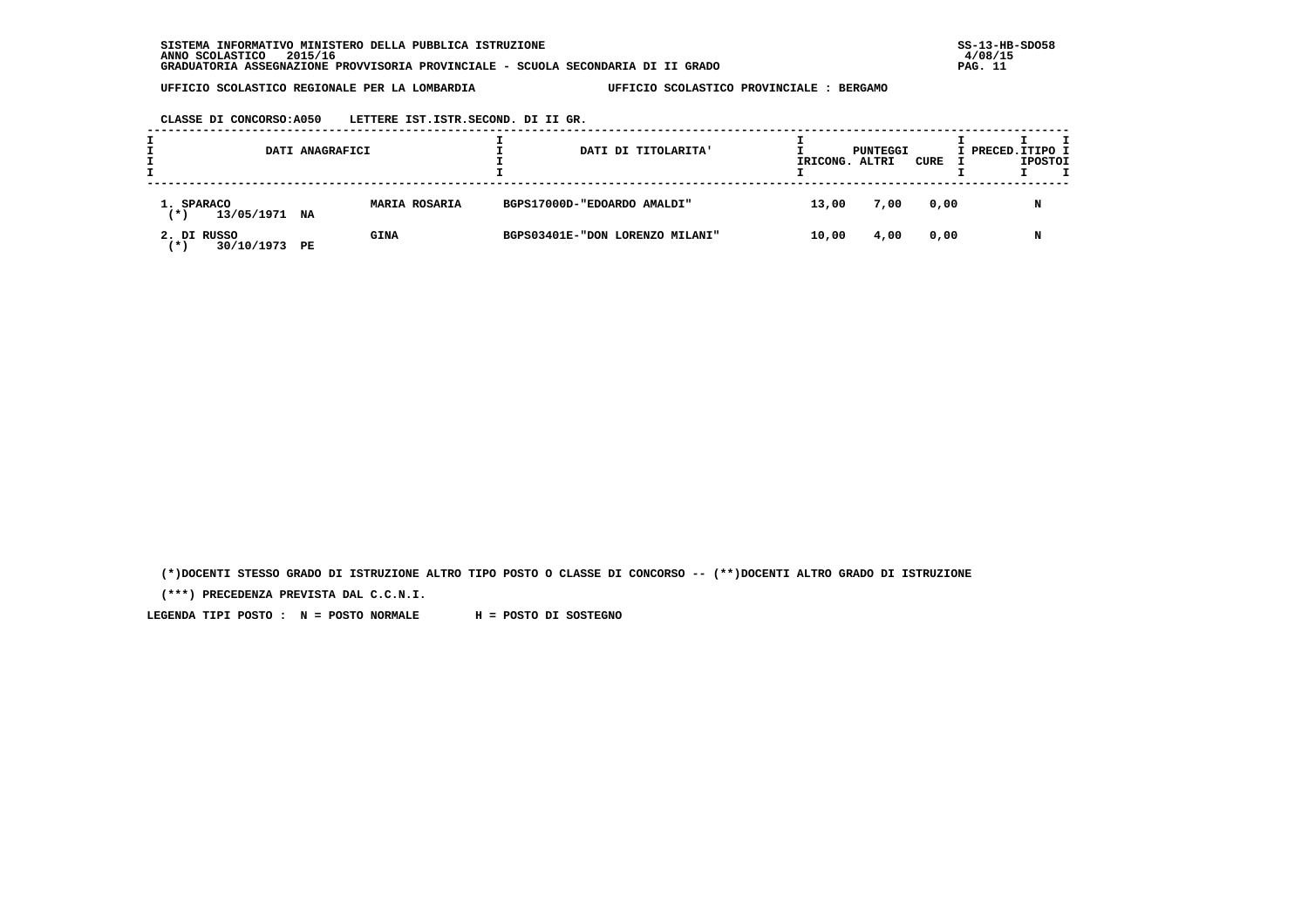**CLASSE DI CONCORSO:A050 LETTERE IST.ISTR.SECOND. DI II GR.**

| DATI ANAGRAFICI                      |               | DATI DI TITOLARITA'             | IRICONG. | PUNTEGGI<br>. ALTRI | CURE | I PRECED.ITIPO I<br><b>IPOSTOI</b> |
|--------------------------------------|---------------|---------------------------------|----------|---------------------|------|------------------------------------|
| 1. SPARACO<br>13/05/1971 NA<br>(*)   | MARIA ROSARIA | BGPS17000D-"EDOARDO AMALDI"     | 13,00    | 7,00                | 0,00 | N                                  |
| 2. DI RUSSO<br>30/10/1973 PE<br>(* 1 | <b>GINA</b>   | BGPS03401E-"DON LORENZO MILANI" | 10,00    | 4,00                | 0,00 | N                                  |

 **(\*)DOCENTI STESSO GRADO DI ISTRUZIONE ALTRO TIPO POSTO O CLASSE DI CONCORSO -- (\*\*)DOCENTI ALTRO GRADO DI ISTRUZIONE**

 **(\*\*\*) PRECEDENZA PREVISTA DAL C.C.N.I.**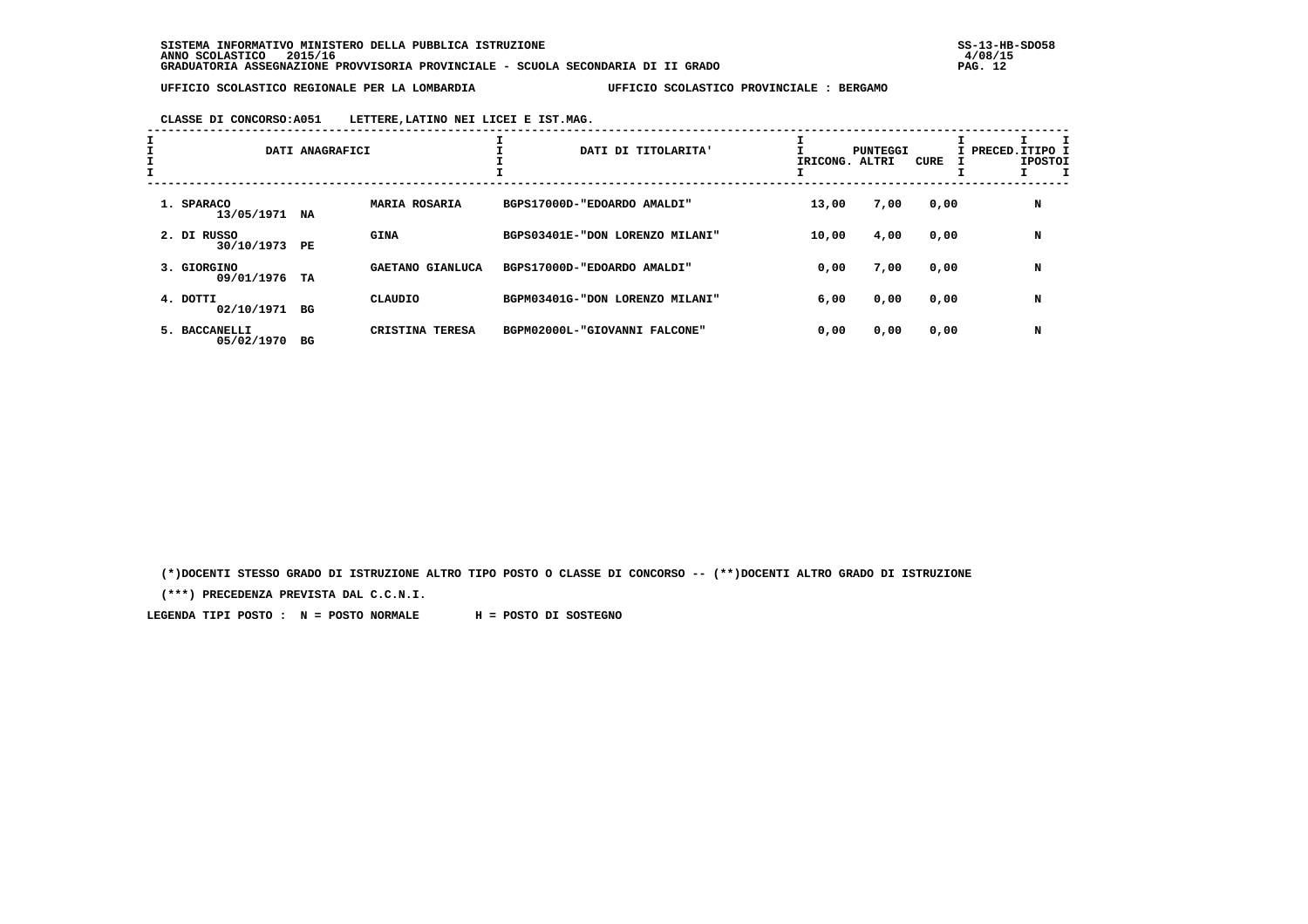**CLASSE DI CONCORSO:A051 LETTERE,LATINO NEI LICEI E IST.MAG.**

| $\mathbf{I}$ |                             | DATI ANAGRAFICI |                      | DATI DI TITOLARITA'             | IRICONG. ALTRI | PUNTEGGI | CURE | I PRECED. ITIPO I<br><b>IPOSTOI</b> |
|--------------|-----------------------------|-----------------|----------------------|---------------------------------|----------------|----------|------|-------------------------------------|
|              | 1. SPARACO<br>13/05/1971    | NA              | <b>MARIA ROSARIA</b> | BGPS17000D-"EDOARDO AMALDI"     | 13,00          | 7,00     | 0,00 | N                                   |
|              | 2. DI RUSSO<br>30/10/1973   | PE              | <b>GINA</b>          | BGPS03401E-"DON LORENZO MILANI" | 10,00          | 4,00     | 0,00 | N                                   |
|              | 3. GIORGINO<br>09/01/1976   | TA              | GAETANO GIANLUCA     | BGPS17000D-"EDOARDO AMALDI"     | 0,00           | 7,00     | 0,00 | N                                   |
|              | 4. DOTTI<br>02/10/1971 BG   |                 | CLAUDIO              | BGPM03401G-"DON LORENZO MILANI" | 6,00           | 0,00     | 0,00 | N                                   |
|              | 5. BACCANELLI<br>05/02/1970 | вG              | CRISTINA TERESA      | BGPM02000L-"GIOVANNI FALCONE"   | 0,00           | 0,00     | 0,00 | N                                   |

 **(\*)DOCENTI STESSO GRADO DI ISTRUZIONE ALTRO TIPO POSTO O CLASSE DI CONCORSO -- (\*\*)DOCENTI ALTRO GRADO DI ISTRUZIONE**

 **(\*\*\*) PRECEDENZA PREVISTA DAL C.C.N.I.**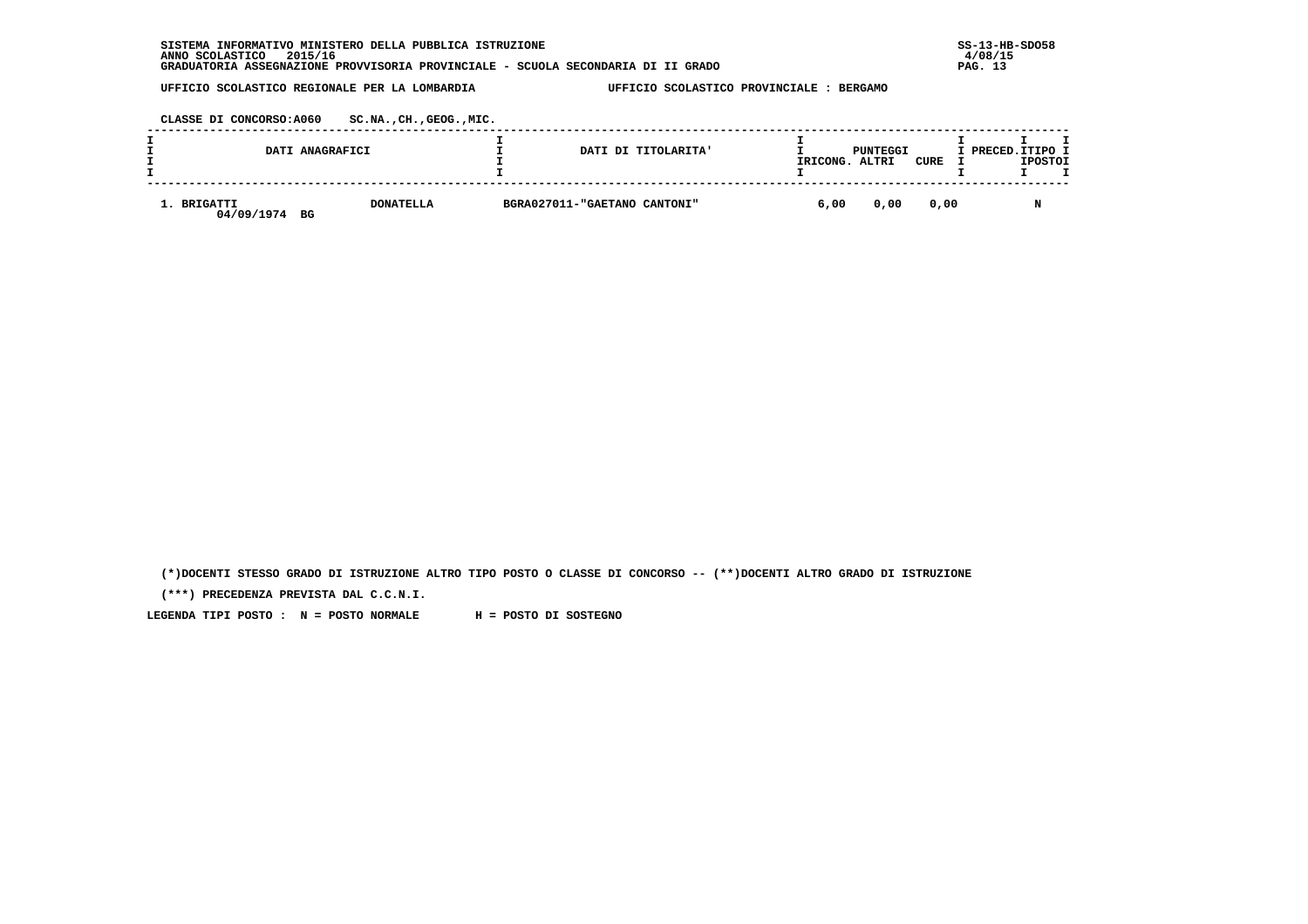| INFORMATIVO MINISTERO DELLA PUBBLICA ISTRUZIONE<br><b>SISTEMA</b>                | $SS-13-HE$ |
|----------------------------------------------------------------------------------|------------|
| 2015/16<br>ANNO SCOLASTICO                                                       | 4/08/15    |
| GRADUATORIA ASSEGNAZIONE PROVVISORIA PROVINCIALE - SCUOLA SECONDARIA DI II GRADO | PAG. 13    |

 **CLASSE DI CONCORSO:A060 SC.NA.,CH.,GEOG.,MIC.**

|                           | DATI ANAGRAFICI        | DATI DI TITOLARITA'          | IRICONG. | PUNTEGGI<br>ALTRI | <b>CURE</b> | I PRECED. ITIPO I | <b>IPOSTOI</b> |  |
|---------------------------|------------------------|------------------------------|----------|-------------------|-------------|-------------------|----------------|--|
| 1. BRIGATTI<br>04/09/1974 | <b>DONATELLA</b><br>BG | BGRA027011-"GAETANO CANTONI" | 6,00     | 0,00              | 0,00        |                   |                |  |

 **(\*)DOCENTI STESSO GRADO DI ISTRUZIONE ALTRO TIPO POSTO O CLASSE DI CONCORSO -- (\*\*)DOCENTI ALTRO GRADO DI ISTRUZIONE**

 **(\*\*\*) PRECEDENZA PREVISTA DAL C.C.N.I.**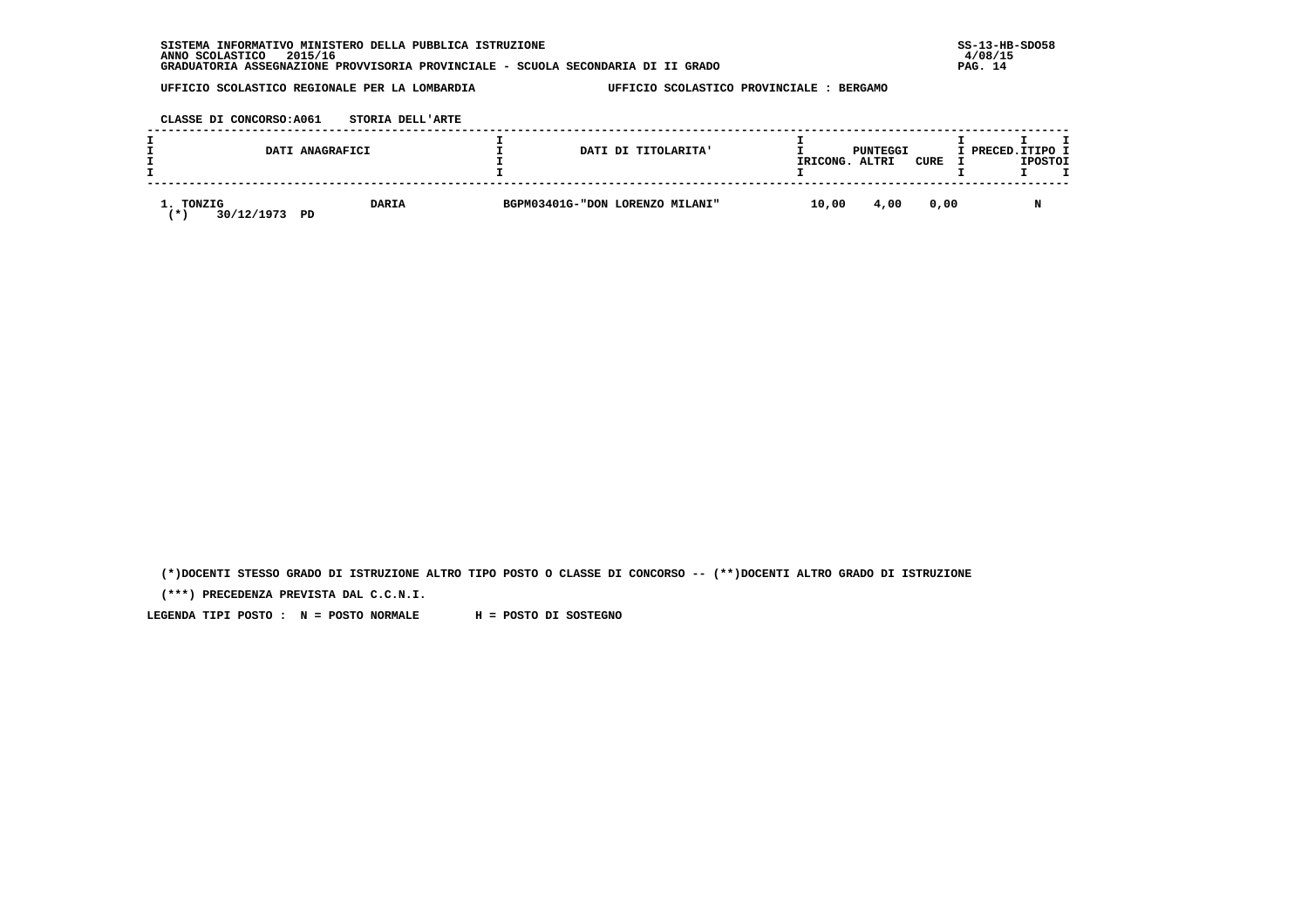| INFORMATIVO MINISTERO DELLA PUBBLICA ISTRUZIONE<br><b>SISTEMA</b>                | $SS-13-HE$ |
|----------------------------------------------------------------------------------|------------|
| 2015/16<br>ANNO SCOLASTICO                                                       | 4/08/15    |
| GRADUATORIA ASSEGNAZIONE PROVVISORIA PROVINCIALE - SCUOLA SECONDARIA DI II GRADO | 14<br>PAG. |

 **CLASSE DI CONCORSO:A061 STORIA DELL'ARTE**

|           |            | DATI ANAGRAFICI    | DATI DI TITOLARITA'             | IRICONG. | PUNTEGGI<br>ALTRI | CURE | I PRECED.ITIPO I | <b>IPOSTOI</b> |  |
|-----------|------------|--------------------|---------------------------------|----------|-------------------|------|------------------|----------------|--|
| 1. TONZIG | 30/12/1973 | <b>DARIA</b><br>PD | BGPM03401G-"DON LORENZO MILANI" | 10,00    | 4,00              | 0.00 |                  |                |  |

 **(\*)DOCENTI STESSO GRADO DI ISTRUZIONE ALTRO TIPO POSTO O CLASSE DI CONCORSO -- (\*\*)DOCENTI ALTRO GRADO DI ISTRUZIONE**

 **(\*\*\*) PRECEDENZA PREVISTA DAL C.C.N.I.**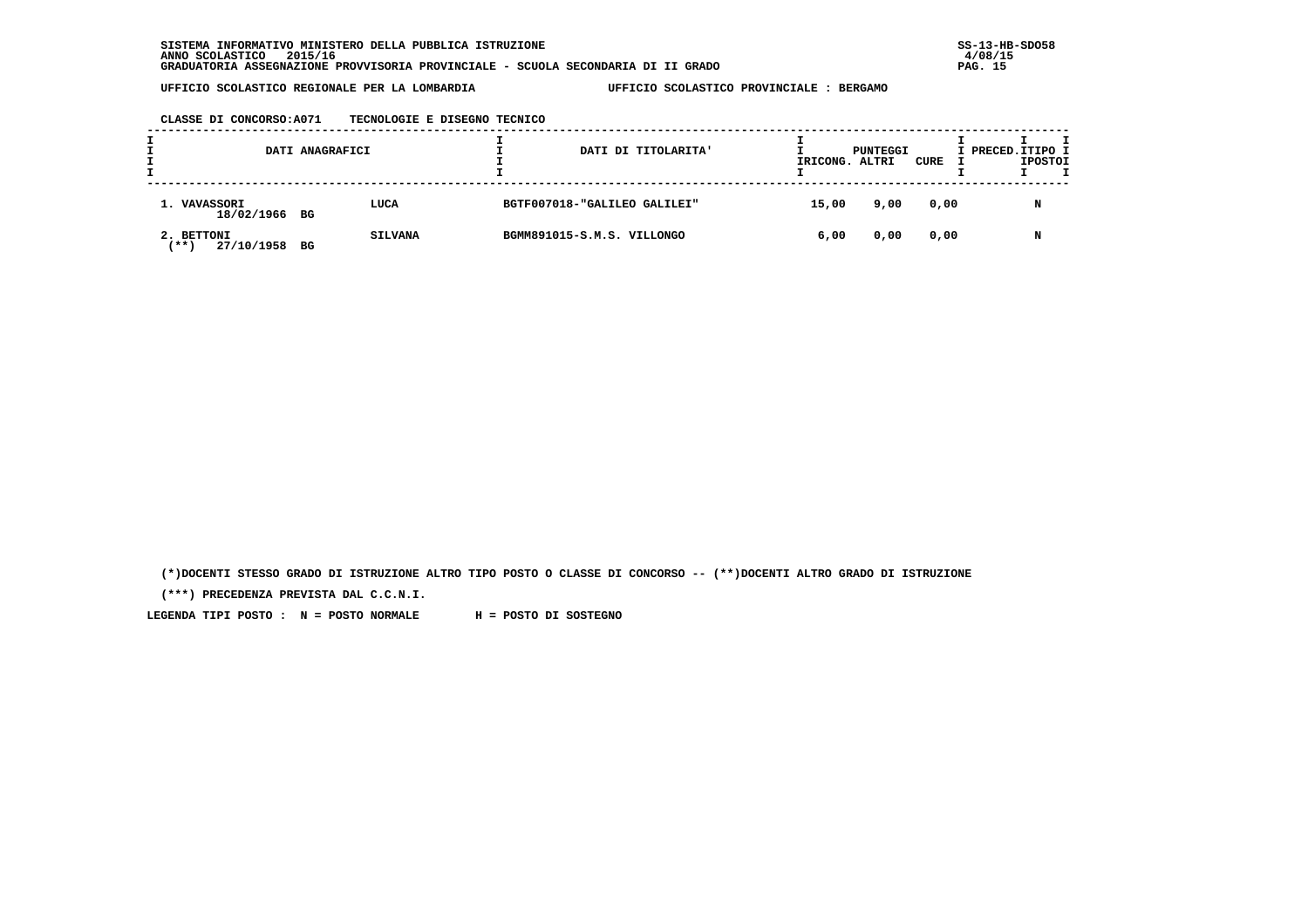|  | CLASSE DI CONCORSO:A071 | TECNOLOGIE E DISEGNO TECNICO |  |  |
|--|-------------------------|------------------------------|--|--|
|--|-------------------------|------------------------------|--|--|

|                                      | DATI ANAGRAFICI |                | DATI DI TITOLARITA'          | IRICONG. ALTRI | PUNTEGGI | CURE | I PRECED. ITIPO I | <b>IPOSTOI</b> | т |
|--------------------------------------|-----------------|----------------|------------------------------|----------------|----------|------|-------------------|----------------|---|
| 1. VAVASSORI<br>18/02/1966 BG        |                 | LUCA           | BGTF007018-"GALILEO GALILEI" | 15,00          | 9,00     | 0,00 |                   | N              |   |
| 2. BETTONI<br>27/10/1958 BG<br>'** 1 |                 | <b>SILVANA</b> | BGMM891015-S.M.S. VILLONGO   | 6,00           | 0,00     | 0,00 |                   | N              |   |

 **(\*)DOCENTI STESSO GRADO DI ISTRUZIONE ALTRO TIPO POSTO O CLASSE DI CONCORSO -- (\*\*)DOCENTI ALTRO GRADO DI ISTRUZIONE**

 **(\*\*\*) PRECEDENZA PREVISTA DAL C.C.N.I.**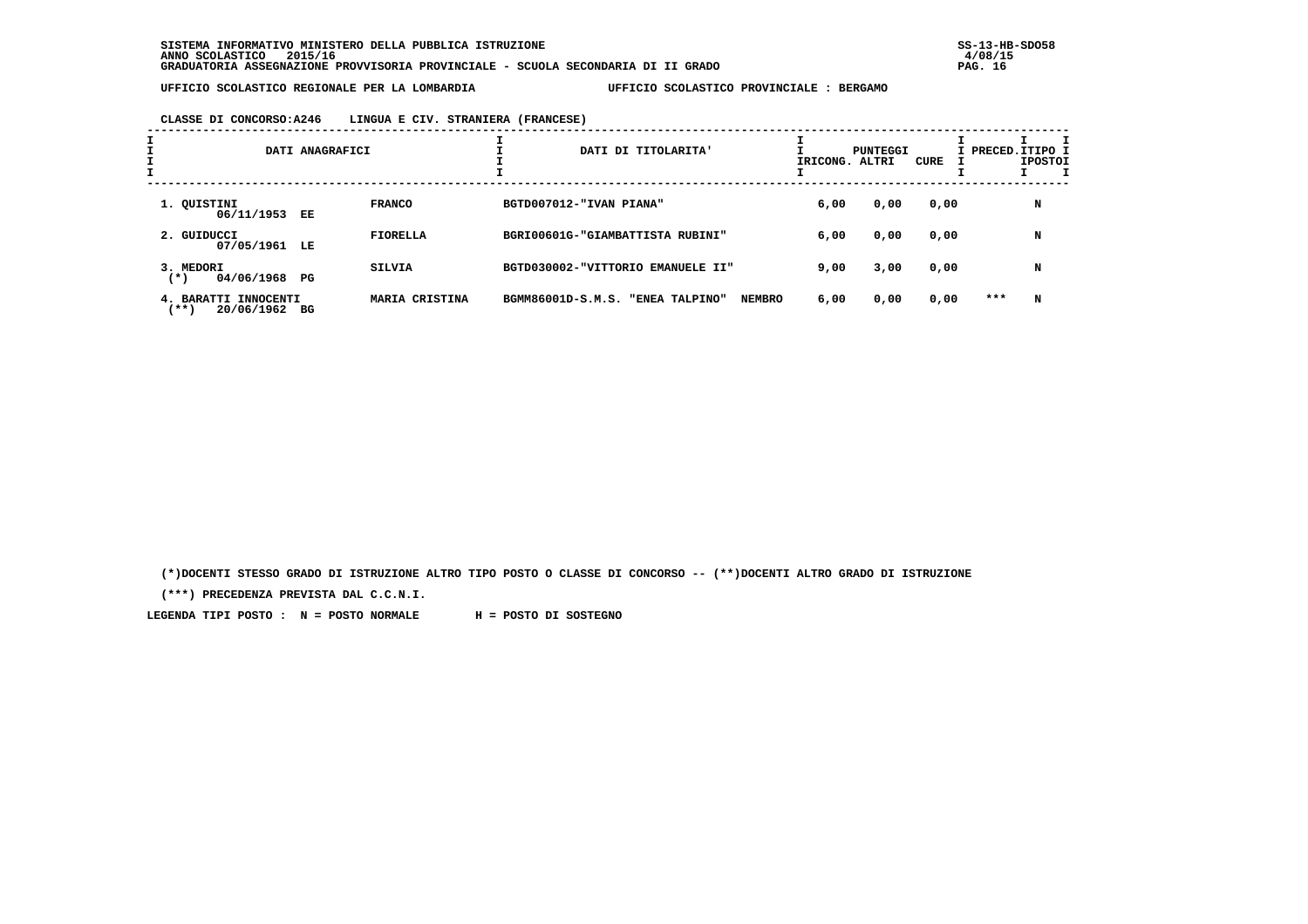| CLASSE DI CONCORSO:A246 | LINGUA E CIV. STRANIERA (FRANCESE) |  |  |
|-------------------------|------------------------------------|--|--|
|-------------------------|------------------------------------|--|--|

| I | DATI ANAGRAFICI                            |    |                 | DATI DI TITOLARITA'               |                                 |      | PUNTEGGI<br>IRICONG. ALTRI | CURE | I PRECED. ITIPO I | <b>IPOSTOI</b> | I |
|---|--------------------------------------------|----|-----------------|-----------------------------------|---------------------------------|------|----------------------------|------|-------------------|----------------|---|
|   | 1. QUISTINI<br>06/11/1953 EE               |    | <b>FRANCO</b>   | BGTD007012-"IVAN PIANA"           |                                 | 6,00 | 0,00                       | 0,00 |                   | N              |   |
|   | 2. GUIDUCCI<br>07/05/1961 LE               |    | <b>FIORELLA</b> | BGRI00601G-"GIAMBATTISTA RUBINI"  |                                 | 6,00 | 0,00                       | 0,00 |                   | N              |   |
|   | 3. MEDORI<br>04/06/1968 PG<br>$(*)$        |    | <b>SILVIA</b>   | BGTD030002-"VITTORIO EMANUELE II" |                                 | 9,00 | 3,00                       | 0,00 |                   | N              |   |
|   | 4. BARATTI INNOCENTI<br>(**)<br>20/06/1962 | вG | MARIA CRISTINA  | BGMM86001D-S.M.S.                 | <b>NEMBRO</b><br>"ENEA TALPINO" | 6,00 | 0,00                       | 0,00 | ***               | N              |   |

 **(\*)DOCENTI STESSO GRADO DI ISTRUZIONE ALTRO TIPO POSTO O CLASSE DI CONCORSO -- (\*\*)DOCENTI ALTRO GRADO DI ISTRUZIONE**

 **(\*\*\*) PRECEDENZA PREVISTA DAL C.C.N.I.**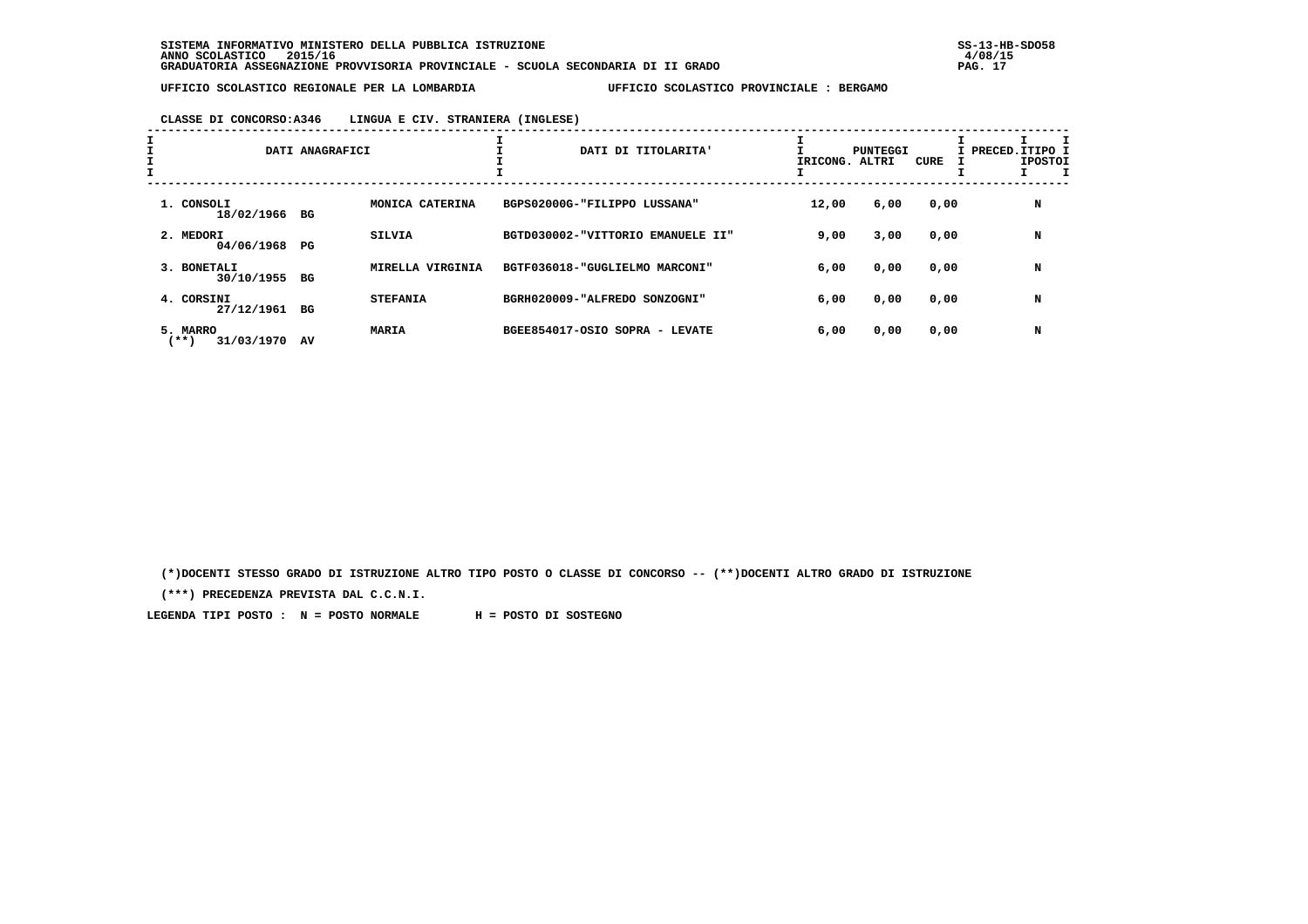### **CLASSE DI CONCORSO:A346 LINGUA E CIV. STRANIERA (INGLESE)**

| $\mathbf{I}$ |                                | DATI ANAGRAFICI |                  | DATI DI TITOLARITA'               | IRICONG. ALTRI | PUNTEGGI | CURE | I PRECED.ITIPO 1<br><b>IPOSTOI</b> |
|--------------|--------------------------------|-----------------|------------------|-----------------------------------|----------------|----------|------|------------------------------------|
|              | 1. CONSOLI<br>18/02/1966 BG    |                 | MONICA CATERINA  | BGPS02000G-"FILIPPO LUSSANA"      | 12,00          | 6,00     | 0,00 | N                                  |
|              | 2. MEDORI<br>04/06/1968 PG     |                 | <b>SILVIA</b>    | BGTD030002-"VITTORIO EMANUELE II" | 9,00           | 3,00     | 0,00 | N                                  |
|              | 3. BONETALI<br>30/10/1955 BG   |                 | MIRELLA VIRGINIA | BGTF036018-"GUGLIELMO MARCONI"    | 6,00           | 0,00     | 0,00 | N                                  |
|              | 4. CORSINI<br>27/12/1961       | BG              | <b>STEFANIA</b>  | BGRH020009-"ALFREDO SONZOGNI"     | 6,00           | 0,00     | 0,00 | N                                  |
|              | 5. MARRO<br>(**)<br>31/03/1970 | AV              | MARIA            | BGEE854017-OSIO SOPRA - LEVATE    | 6,00           | 0,00     | 0,00 | N                                  |

 **(\*)DOCENTI STESSO GRADO DI ISTRUZIONE ALTRO TIPO POSTO O CLASSE DI CONCORSO -- (\*\*)DOCENTI ALTRO GRADO DI ISTRUZIONE**

 **(\*\*\*) PRECEDENZA PREVISTA DAL C.C.N.I.**